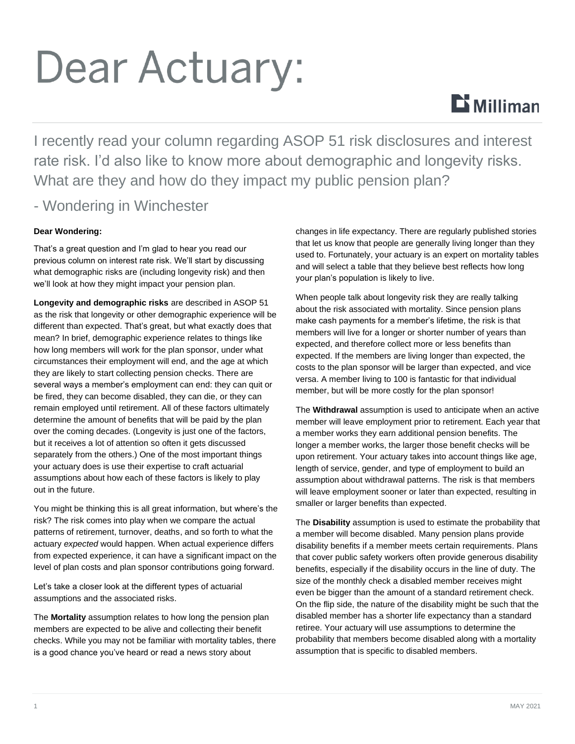# Dear Actuary:



I recently read your column regarding ASOP 51 risk disclosures and interest rate risk. I'd also like to know more about demographic and longevity risks. What are they and how do they impact my public pension plan?

### - Wondering in Winchester

#### **Dear Wondering:**

That's a great question and I'm glad to hear you read our previous column on interest rate risk. We'll start by discussing what demographic risks are (including longevity risk) and then we'll look at how they might impact your pension plan.

**Longevity and demographic risks** are described in ASOP 51 as the risk that longevity or other demographic experience will be different than expected. That's great, but what exactly does that mean? In brief, demographic experience relates to things like how long members will work for the plan sponsor, under what circumstances their employment will end, and the age at which they are likely to start collecting pension checks. There are several ways a member's employment can end: they can quit or be fired, they can become disabled, they can die, or they can remain employed until retirement. All of these factors ultimately determine the amount of benefits that will be paid by the plan over the coming decades. (Longevity is just one of the factors, but it receives a lot of attention so often it gets discussed separately from the others.) One of the most important things your actuary does is use their expertise to craft actuarial assumptions about how each of these factors is likely to play out in the future.

You might be thinking this is all great information, but where's the risk? The risk comes into play when we compare the actual patterns of retirement, turnover, deaths, and so forth to what the actuary *expected* would happen. When actual experience differs from expected experience, it can have a significant impact on the level of plan costs and plan sponsor contributions going forward.

Let's take a closer look at the different types of actuarial assumptions and the associated risks.

The **Mortality** assumption relates to how long the pension plan members are expected to be alive and collecting their benefit checks. While you may not be familiar with mortality tables, there is a good chance you've heard or read a news story about

changes in life expectancy. There are regularly published stories that let us know that people are generally living longer than they used to. Fortunately, your actuary is an expert on mortality tables and will select a table that they believe best reflects how long your plan's population is likely to live.

When people talk about longevity risk they are really talking about the risk associated with mortality. Since pension plans make cash payments for a member's lifetime, the risk is that members will live for a longer or shorter number of years than expected, and therefore collect more or less benefits than expected. If the members are living longer than expected, the costs to the plan sponsor will be larger than expected, and vice versa. A member living to 100 is fantastic for that individual member, but will be more costly for the plan sponsor!

The **Withdrawal** assumption is used to anticipate when an active member will leave employment prior to retirement. Each year that a member works they earn additional pension benefits. The longer a member works, the larger those benefit checks will be upon retirement. Your actuary takes into account things like age, length of service, gender, and type of employment to build an assumption about withdrawal patterns. The risk is that members will leave employment sooner or later than expected, resulting in smaller or larger benefits than expected.

The **Disability** assumption is used to estimate the probability that a member will become disabled. Many pension plans provide disability benefits if a member meets certain requirements. Plans that cover public safety workers often provide generous disability benefits, especially if the disability occurs in the line of duty. The size of the monthly check a disabled member receives might even be bigger than the amount of a standard retirement check. On the flip side, the nature of the disability might be such that the disabled member has a shorter life expectancy than a standard retiree. Your actuary will use assumptions to determine the probability that members become disabled along with a mortality assumption that is specific to disabled members.